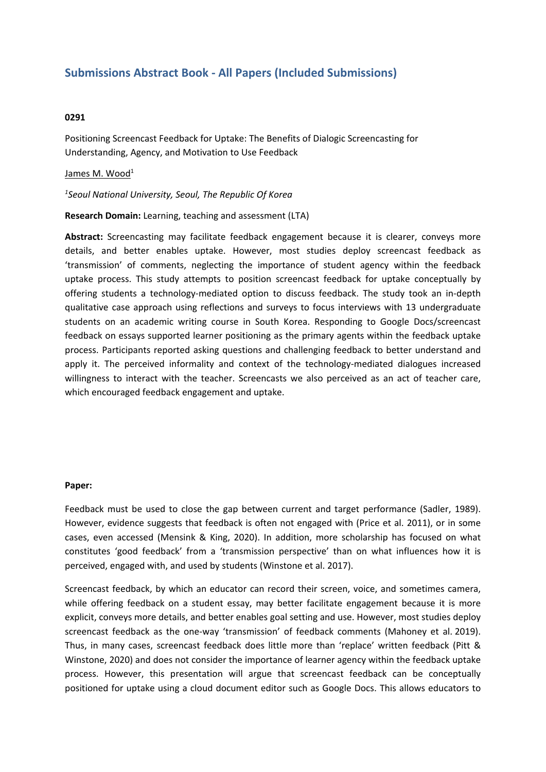## **Submissions Abstract Book - All Papers (Included Submissions)**

## **0291**

Positioning Screencast Feedback for Uptake: The Benefits of Dialogic Screencasting for Understanding, Agency, and Motivation to Use Feedback

## James M. Wood<sup>1</sup>

*1 Seoul National University, Seoul, The Republic Of Korea*

**Research Domain:** Learning, teaching and assessment (LTA)

**Abstract:** Screencasting may facilitate feedback engagement because it is clearer, conveys more details, and better enables uptake. However, most studies deploy screencast feedback as 'transmission' of comments, neglecting the importance of student agency within the feedback uptake process. This study attempts to position screencast feedback for uptake conceptually by offering students <sup>a</sup> technology-mediated option to discuss feedback. The study took an in-depth qualitative case approach using reflections and surveys to focus interviews with 13 undergraduate students on an academic writing course in South Korea. Responding to Google Docs/screencast feedback on essays supported learner positioning as the primary agents within the feedback uptake process. Participants reported asking questions and challenging feedback to better understand and apply it. The perceived informality and context of the technology-mediated dialogues increased willingness to interact with the teacher. Screencasts we also perceived as an act of teacher care, which encouraged feedback engagement and uptake.

## **Paper:**

Feedback must be used to close the gap between current and target performance (Sadler, 1989). However, evidence suggests that feedback is often not engaged with (Price et al. 2011), or in some cases, even accessed (Mensink & King, 2020). In addition, more scholarship has focused on what constitutes 'good feedback' from <sup>a</sup> 'transmission perspective' than on what influences how it is perceived, engaged with, and used by students (Winstone et al. 2017).

Screencast feedback, by which an educator can record their screen, voice, and sometimes camera, while offering feedback on <sup>a</sup> student essay, may better facilitate engagement because it is more explicit, conveys more details, and better enables goal setting and use. However, most studies deploy screencast feedback as the one-way 'transmission' of feedback comments (Mahoney et al. 2019). Thus, in many cases, screencast feedback does little more than 'replace' written feedback (Pitt & Winstone, 2020) and does not consider the importance of learner agency within the feedback uptake process. However, this presentation will argue that screencast feedback can be conceptually positioned for uptake using <sup>a</sup> cloud document editor such as Google Docs. This allows educators to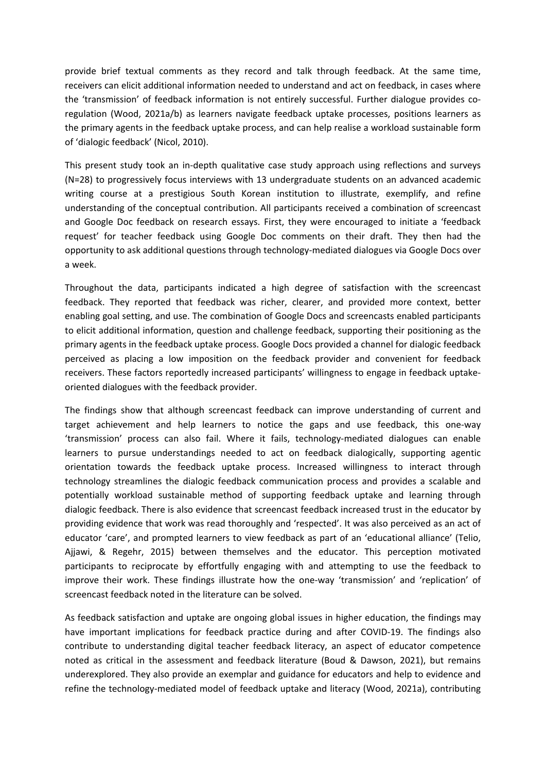provide brief textual comments as they record and talk through feedback. At the same time, receivers can elicit additional information needed to understand and act on feedback, in cases where the 'transmission' of feedback information is not entirely successful. Further dialogue provides coregulation (Wood, 2021a/b) as learners navigate feedback uptake processes, positions learners as the primary agents in the feedback uptake process, and can help realise <sup>a</sup> workload sustainable form of 'dialogic feedback' (Nicol, 2010).

This present study took an in-depth qualitative case study approach using reflections and surveys (N=28) to progressively focus interviews with 13 undergraduate students on an advanced academic writing course at <sup>a</sup> prestigious South Korean institution to illustrate, exemplify, and refine understanding of the conceptual contribution. All participants received <sup>a</sup> combination of screencast and Google Doc feedback on research essays. First, they were encouraged to initiate <sup>a</sup> 'feedback request' for teacher feedback using Google Doc comments on their draft. They then had the opportunity to ask additional questions through technology-mediated dialogues via Google Docs over a week.

Throughout the data, participants indicated <sup>a</sup> high degree of satisfaction with the screencast feedback. They reported that feedback was richer, clearer, and provided more context, better enabling goal setting, and use. The combination of Google Docs and screencasts enabled participants to elicit additional information, question and challenge feedback, supporting their positioning as the primary agents in the feedback uptake process. Google Docs provided <sup>a</sup> channel for dialogic feedback perceived as placing <sup>a</sup> low imposition on the feedback provider and convenient for feedback receivers. These factors reportedly increased participants' willingness to engage in feedback uptakeoriented dialogues with the feedback provider.

The findings show that although screencast feedback can improve understanding of current and target achievement and help learners to notice the gaps and use feedback, this one-way 'transmission' process can also fail. Where it fails, technology-mediated dialogues can enable learners to pursue understandings needed to act on feedback dialogically, supporting agentic orientation towards the feedback uptake process. Increased willingness to interact through technology streamlines the dialogic feedback communication process and provides <sup>a</sup> scalable and potentially workload sustainable method of supporting feedback uptake and learning through dialogic feedback. There is also evidence that screencast feedback increased trust in the educator by providing evidence that work was read thoroughly and 'respected'. It was also perceived as an act of educator 'care', and prompted learners to view feedback as part of an 'educational alliance' (Telio, Ajjawi, & Regehr, 2015) between themselves and the educator. This perception motivated participants to reciprocate by effortfully engaging with and attempting to use the feedback to improve their work. These findings illustrate how the one-way 'transmission' and 'replication' of screencast feedback noted in the literature can be solved.

As feedback satisfaction and uptake are ongoing global issues in higher education, the findings may have important implications for feedback practice during and after COVID-19. The findings also contribute to understanding digital teacher feedback literacy, an aspect of educator competence noted as critical in the assessment and feedback literature (Boud & Dawson, 2021), but remains underexplored. They also provide an exemplar and guidance for educators and help to evidence and refine the technology-mediated model of feedback uptake and literacy (Wood, 2021a), contributing